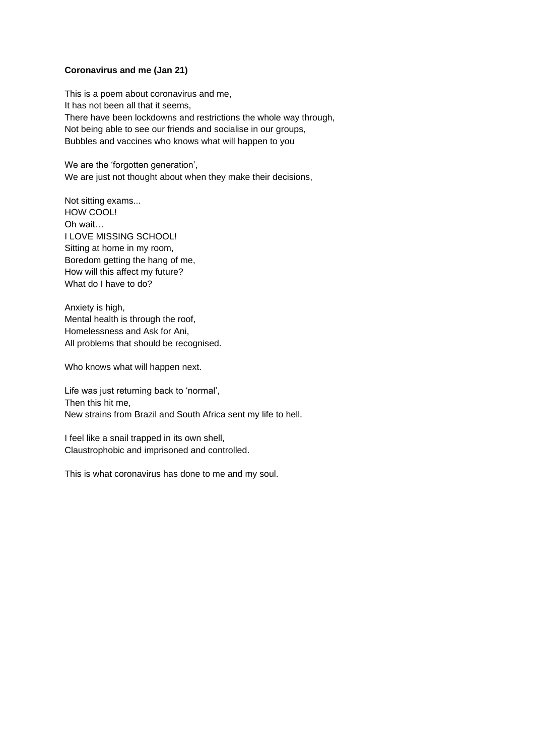## **Coronavirus and me (Jan 21)**

This is a poem about coronavirus and me, It has not been all that it seems, There have been lockdowns and restrictions the whole way through, Not being able to see our friends and socialise in our groups, Bubbles and vaccines who knows what will happen to you

We are the 'forgotten generation', We are just not thought about when they make their decisions,

Not sitting exams... HOW COOL! Oh wait… I LOVE MISSING SCHOOL! Sitting at home in my room, Boredom getting the hang of me, How will this affect my future? What do I have to do?

Anxiety is high, Mental health is through the roof, Homelessness and Ask for Ani, All problems that should be recognised.

Who knows what will happen next.

Life was just returning back to 'normal', Then this hit me, New strains from Brazil and South Africa sent my life to hell.

I feel like a snail trapped in its own shell, Claustrophobic and imprisoned and controlled.

This is what coronavirus has done to me and my soul.